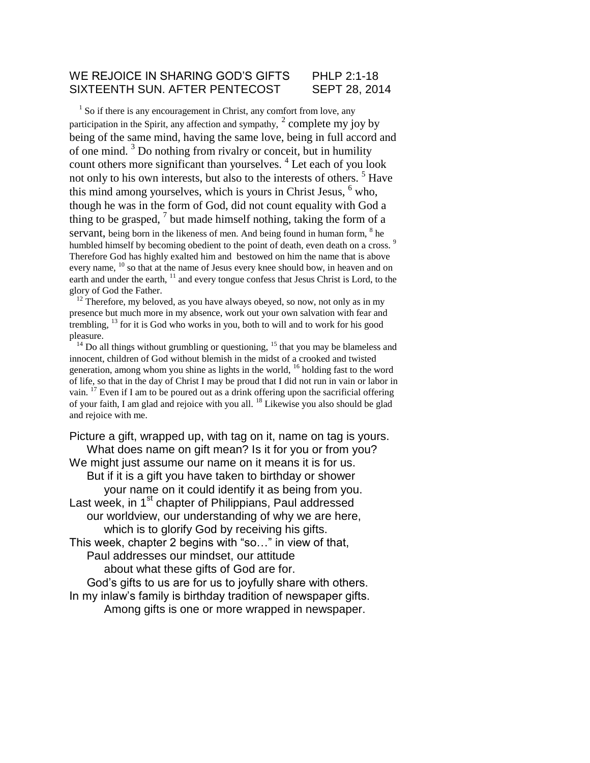#### WE REJOICE IN SHARING GOD'S GIFTS PHLP 2:1-18 SIXTEENTH SUN. AFTER PENTECOST SEPT 28, 2014

<sup>1</sup> So if there is any encouragement in Christ, any comfort from love, any participation in the Spirit, any affection and sympathy,  $\frac{2}{3}$  complete my joy by being of the same mind, having the same love, being in full accord and of one mind.  $3$  Do nothing from rivalry or conceit, but in humility count others more significant than yourselves.<sup>4</sup> Let each of you look not only to his own interests, but also to the interests of others.<sup>5</sup> Have this mind among yourselves, which is yours in Christ Jesus,  $<sup>6</sup>$  who,</sup> though he was in the form of God, did not count equality with God a thing to be grasped,  $\frac{7}{1}$  but made himself nothing, taking the form of a servant, being born in the likeness of men. And being found in human form,  $8$  he humbled himself by becoming obedient to the point of death, even death on a cross.<sup>9</sup> Therefore God has highly exalted him and bestowed on him the name that is above every name, <sup>10</sup> so that at the name of Jesus every knee should bow, in heaven and on earth and under the earth, <sup>11</sup> and every tongue confess that Jesus Christ is Lord, to the glory of God the Father.

 $12$  Therefore, my beloved, as you have always obeyed, so now, not only as in my presence but much more in my absence, work out your own salvation with fear and trembling, <sup>13</sup> for it is God who works in you, both to will and to work for his good pleasure.

 $14$  Do all things without grumbling or questioning,  $15$  that you may be blameless and innocent, children of God without blemish in the midst of a crooked and twisted generation, among whom you shine as lights in the world, <sup>16</sup> holding fast to the word of life, so that in the day of Christ I may be proud that I did not run in vain or labor in vain. <sup>17</sup> Even if I am to be poured out as a drink offering upon the sacrificial offering of your faith, I am glad and rejoice with you all. <sup>18</sup> Likewise you also should be glad and rejoice with me.

Picture a gift, wrapped up, with tag on it, name on tag is yours. What does name on gift mean? Is it for you or from you? We might just assume our name on it means it is for us. But if it is a gift you have taken to birthday or shower your name on it could identify it as being from you. Last week, in 1<sup>st</sup> chapter of Philippians, Paul addressed our worldview, our understanding of why we are here, which is to glorify God by receiving his gifts. This week, chapter 2 begins with "so…" in view of that, Paul addresses our mindset, our attitude about what these gifts of God are for. God's gifts to us are for us to joyfully share with others. In my inlaw's family is birthday tradition of newspaper gifts. Among gifts is one or more wrapped in newspaper.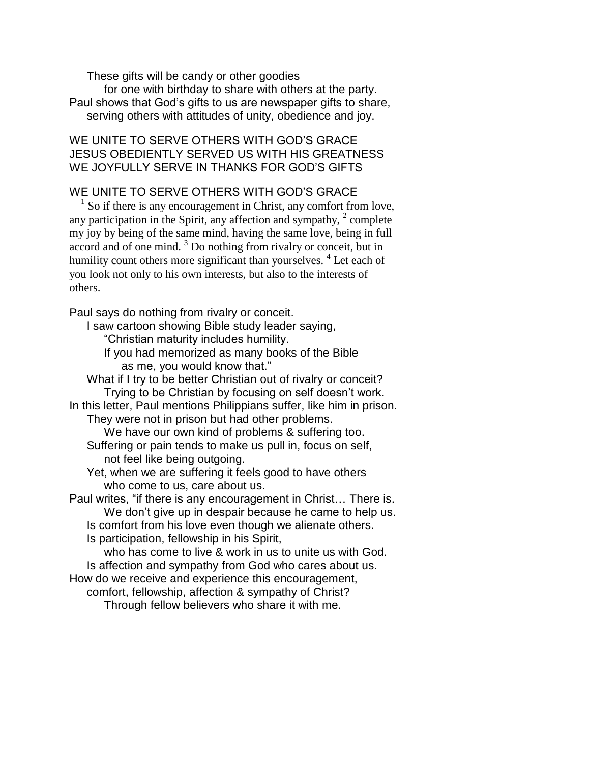These gifts will be candy or other goodies for one with birthday to share with others at the party. Paul shows that God's gifts to us are newspaper gifts to share, serving others with attitudes of unity, obedience and joy.

## WE UNITE TO SERVE OTHERS WITH GOD'S GRACE JESUS OBEDIENTLY SERVED US WITH HIS GREATNESS WE JOYFULLY SERVE IN THANKS FOR GOD'S GIFTS

# WE UNITE TO SERVE OTHERS WITH GOD'S GRACE

1 So if there is any encouragement in Christ, any comfort from love, any participation in the Spirit, any affection and sympathy,  $2$  complete my joy by being of the same mind, having the same love, being in full accord and of one mind. <sup>3</sup> Do nothing from rivalry or conceit, but in humility count others more significant than yourselves.<sup>4</sup> Let each of you look not only to his own interests, but also to the interests of others.

Paul says do nothing from rivalry or conceit.

I saw cartoon showing Bible study leader saying, "Christian maturity includes humility.

If you had memorized as many books of the Bible as me, you would know that."

What if I try to be better Christian out of rivalry or conceit? Trying to be Christian by focusing on self doesn't work.

In this letter, Paul mentions Philippians suffer, like him in prison. They were not in prison but had other problems.

We have our own kind of problems & suffering too. Suffering or pain tends to make us pull in, focus on self,

not feel like being outgoing. Yet, when we are suffering it feels good to have others who come to us, care about us.

Paul writes, "if there is any encouragement in Christ… There is. We don't give up in despair because he came to help us. Is comfort from his love even though we alienate others. Is participation, fellowship in his Spirit,

who has come to live & work in us to unite us with God. Is affection and sympathy from God who cares about us. How do we receive and experience this encouragement, comfort, fellowship, affection & sympathy of Christ? Through fellow believers who share it with me.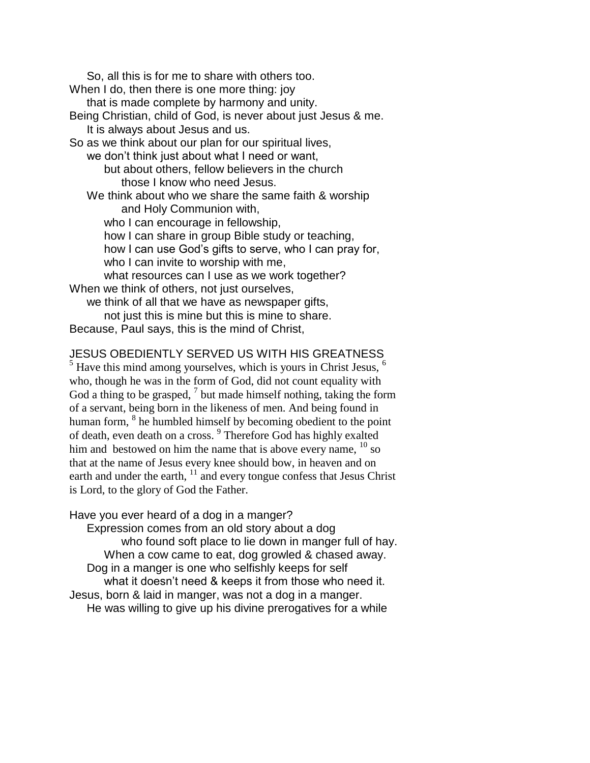So, all this is for me to share with others too. When I do, then there is one more thing: joy that is made complete by harmony and unity. Being Christian, child of God, is never about just Jesus & me. It is always about Jesus and us. So as we think about our plan for our spiritual lives, we don't think just about what I need or want, but about others, fellow believers in the church those I know who need Jesus. We think about who we share the same faith & worship and Holy Communion with, who I can encourage in fellowship, how I can share in group Bible study or teaching, how I can use God's gifts to serve, who I can pray for, who I can invite to worship with me, what resources can I use as we work together? When we think of others, not just ourselves, we think of all that we have as newspaper gifts, not just this is mine but this is mine to share. Because, Paul says, this is the mind of Christ,

### JESUS OBEDIENTLY SERVED US WITH HIS GREATNESS

 $<sup>5</sup>$  Have this mind among yourselves, which is yours in Christ Jesus,  $<sup>6</sup>$ </sup></sup> who, though he was in the form of God, did not count equality with God a thing to be grasped,  $<sup>7</sup>$  but made himself nothing, taking the form</sup> of a servant, being born in the likeness of men. And being found in human form, <sup>8</sup> he humbled himself by becoming obedient to the point of death, even death on a cross. 9 Therefore God has highly exalted him and bestowed on him the name that is above every name,  $^{10}$  so that at the name of Jesus every knee should bow, in heaven and on earth and under the earth, <sup>11</sup> and every tongue confess that Jesus Christ is Lord, to the glory of God the Father.

Have you ever heard of a dog in a manger?

Expression comes from an old story about a dog who found soft place to lie down in manger full of hay. When a cow came to eat, dog growled & chased away. Dog in a manger is one who selfishly keeps for self what it doesn't need & keeps it from those who need it. Jesus, born & laid in manger, was not a dog in a manger. He was willing to give up his divine prerogatives for a while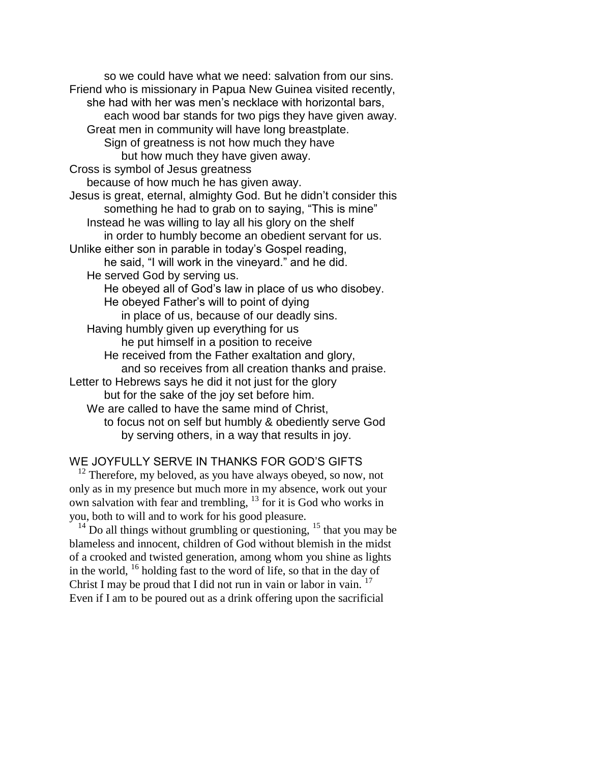so we could have what we need: salvation from our sins. Friend who is missionary in Papua New Guinea visited recently, she had with her was men's necklace with horizontal bars, each wood bar stands for two pigs they have given away. Great men in community will have long breastplate. Sign of greatness is not how much they have but how much they have given away. Cross is symbol of Jesus greatness because of how much he has given away. Jesus is great, eternal, almighty God. But he didn't consider this something he had to grab on to saying, "This is mine" Instead he was willing to lay all his glory on the shelf in order to humbly become an obedient servant for us. Unlike either son in parable in today's Gospel reading, he said, "I will work in the vineyard." and he did. He served God by serving us. He obeyed all of God's law in place of us who disobey. He obeyed Father's will to point of dying in place of us, because of our deadly sins. Having humbly given up everything for us he put himself in a position to receive He received from the Father exaltation and glory, and so receives from all creation thanks and praise. Letter to Hebrews says he did it not just for the glory but for the sake of the joy set before him. We are called to have the same mind of Christ, to focus not on self but humbly & obediently serve God by serving others, in a way that results in joy.

### WE JOYFULLY SERVE IN THANKS FOR GOD'S GIFTS

 $12$  Therefore, my beloved, as you have always obeyed, so now, not only as in my presence but much more in my absence, work out your own salvation with fear and trembling, <sup>13</sup> for it is God who works in you, both to will and to work for his good pleasure.

 $14$  Do all things without grumbling or questioning,  $15$  that you may be blameless and innocent, children of God without blemish in the midst of a crooked and twisted generation, among whom you shine as lights in the world, <sup>16</sup> holding fast to the word of life, so that in the day of Christ I may be proud that I did not run in vain or labor in vain.  $17$ Even if I am to be poured out as a drink offering upon the sacrificial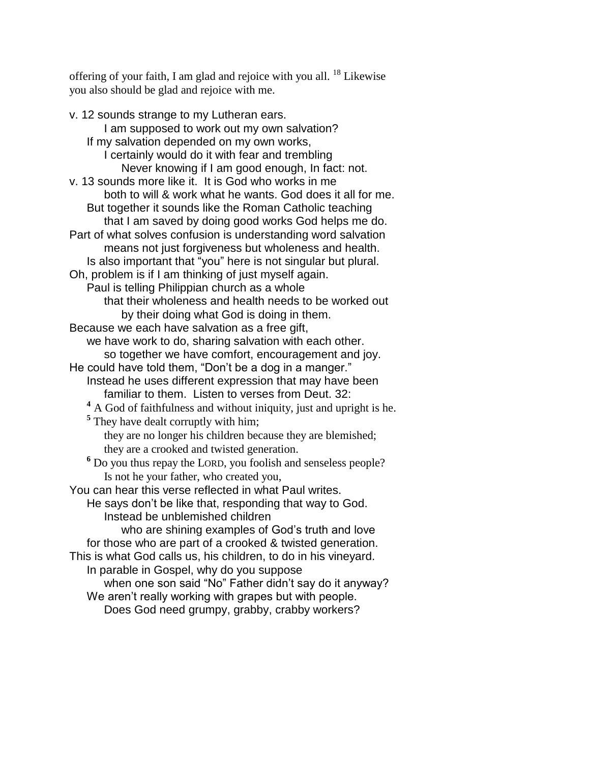offering of your faith, I am glad and rejoice with you all. <sup>18</sup> Likewise you also should be glad and rejoice with me.

v. 12 sounds strange to my Lutheran ears. I am supposed to work out my own salvation? If my salvation depended on my own works, I certainly would do it with fear and trembling Never knowing if I am good enough, In fact: not. v. 13 sounds more like it. It is God who works in me both to will & work what he wants. God does it all for me. But together it sounds like the Roman Catholic teaching that I am saved by doing good works God helps me do. Part of what solves confusion is understanding word salvation means not just forgiveness but wholeness and health. Is also important that "you" here is not singular but plural. Oh, problem is if I am thinking of just myself again. Paul is telling Philippian church as a whole that their wholeness and health needs to be worked out by their doing what God is doing in them. Because we each have salvation as a free gift, we have work to do, sharing salvation with each other. so together we have comfort, encouragement and joy. He could have told them, "Don't be a dog in a manger." Instead he uses different expression that may have been familiar to them. Listen to verses from Deut. 32: **<sup>4</sup>** A God of faithfulness and without iniquity, just and upright is he. <sup>5</sup> They have dealt corruptly with him; they are no longer his children because they are blemished; they are a crooked and twisted generation. **<sup>6</sup>** Do you thus repay the LORD, you foolish and senseless people? Is not he your father, who created you, You can hear this verse reflected in what Paul writes. He says don't be like that, responding that way to God. Instead be unblemished children who are shining examples of God's truth and love for those who are part of a crooked & twisted generation. This is what God calls us, his children, to do in his vineyard. In parable in Gospel, why do you suppose when one son said "No" Father didn't say do it anyway? We aren't really working with grapes but with people. Does God need grumpy, grabby, crabby workers?